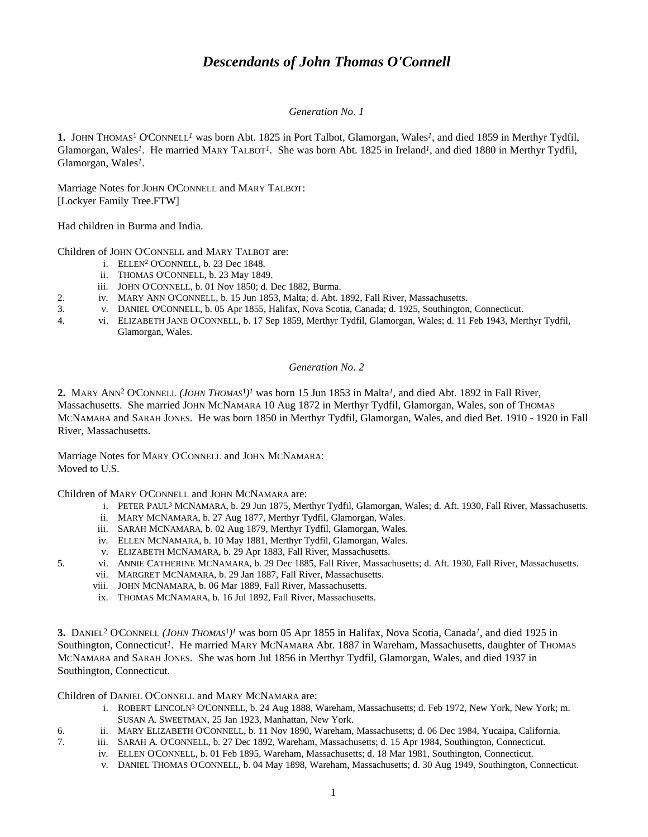# *Descendants of John Thomas O'Connell*

## *Generation No. 1*

**1.** JOHN THOMAS<sup>1</sup> O'CONNELL*<sup>1</sup>* was born Abt. 1825 in Port Talbot, Glamorgan, Wales*<sup>1</sup>* , and died 1859 in Merthyr Tydfil, Glamorgan, Wales*<sup>1</sup>* . He married MARY TALBOT*<sup>1</sup>* . She was born Abt. 1825 in Ireland*<sup>1</sup>* , and died 1880 in Merthyr Tydfil, Glamorgan, Wales*<sup>1</sup>* .

Marriage Notes for JOHN O'CONNELL and MARY TALBOT: [Lockyer Family Tree.FTW]

Had children in Burma and India.

Children of JOHN O'CONNELL and MARY TALBOT are:

- i. ELLEN<sup>2</sup> O'CONNELL, b. 23 Dec 1848.
- ii. THOMAS O'CONNELL, b. 23 May 1849.
- iii. JOHN O'CONNELL, b. 01 Nov 1850; d. Dec 1882, Burma.
- 2. iv. MARY ANN O'CONNELL, b. 15 Jun 1853, Malta; d. Abt. 1892, Fall River, Massachusetts.
- 3. v. DANIEL O'CONNELL, b. 05 Apr 1855, Halifax, Nova Scotia, Canada; d. 1925, Southington, Connecticut.
- 4. vi. ELIZABETH JANE O'CONNELL, b. 17 Sep 1859, Merthyr Tydfil, Glamorgan, Wales; d. 11 Feb 1943, Merthyr Tydfil, Glamorgan, Wales.

## *Generation No. 2*

2. MARY ANN<sup>2</sup> O'CONNELL (*JOHN THOMAS*<sup>1</sup>)<sup>*I*</sup> was born 15 Jun 1853 in Malta<sup>*I*</sup>, and died Abt. 1892 in Fall River, Massachusetts. She married JOHN MCNAMARA 10 Aug 1872 in Merthyr Tydfil, Glamorgan, Wales, son of THOMAS MCNAMARA and SARAH JONES. He was born 1850 in Merthyr Tydfil, Glamorgan, Wales, and died Bet. 1910 - 1920 in Fall River, Massachusetts.

Marriage Notes for MARY O'CONNELL and JOHN MCNAMARA: Moved to U.S.

Children of MARY O'CONNELL and JOHN MCNAMARA are:

- i. PETER PAUL<sup>3</sup> MCNAMARA, b. 29 Jun 1875, Merthyr Tydfil, Glamorgan, Wales; d. Aft. 1930, Fall River, Massachusetts.
- ii. MARY MCNAMARA, b. 27 Aug 1877, Merthyr Tydfil, Glamorgan, Wales.
- iii. SARAH MCNAMARA, b. 02 Aug 1879, Merthyr Tydfil, Glamorgan, Wales.
- iv. ELLEN MCNAMARA, b. 10 May 1881, Merthyr Tydfil, Glamorgan, Wales.
- v. ELIZABETH MCNAMARA, b. 29 Apr 1883, Fall River, Massachusetts.
- 5. vi. ANNIE CATHERINE MCNAMARA, b. 29 Dec 1885, Fall River, Massachusetts; d. Aft. 1930, Fall River, Massachusetts.
	- vii. MARGRET MCNAMARA, b. 29 Jan 1887, Fall River, Massachusetts.
	- viii. JOHN MCNAMARA, b. 06 Mar 1889, Fall River, Massachusetts.
	- ix. THOMAS MCNAMARA, b. 16 Jul 1892, Fall River, Massachusetts.

**3.** DANIEL<sup>2</sup> O'CONNELL (*JOHN THOMAS*<sup>1</sup>)<sup>*I*</sup> was born 05 Apr 1855 in Halifax, Nova Scotia, Canada<sup>*I*</sup>, and died 1925 in Southington, Connecticut*<sup>1</sup>* . He married MARY MCNAMARA Abt. 1887 in Wareham, Massachusetts, daughter of THOMAS MCNAMARA and SARAH JONES. She was born Jul 1856 in Merthyr Tydfil, Glamorgan, Wales, and died 1937 in Southington, Connecticut.

Children of DANIEL O'CONNELL and MARY MCNAMARA are:

- i. ROBERT LINCOLN<sup>3</sup> O'CONNELL, b. 24 Aug 1888, Wareham, Massachusetts; d. Feb 1972, New York, New York; m. SUSAN A. SWEETMAN, 25 Jan 1923, Manhattan, New York.
- 6. ii. MARY ELIZABETH O'CONNELL, b. 11 Nov 1890, Wareham, Massachusetts; d. 06 Dec 1984, Yucaipa, California.
- 7. iii. SARAH A. O'CONNELL, b. 27 Dec 1892, Wareham, Massachusetts; d. 15 Apr 1984, Southington, Connecticut.
	- iv. ELLEN O'CONNELL, b. 01 Feb 1895, Wareham, Massachusetts; d. 18 Mar 1981, Southington, Connecticut.
	- v. DANIEL THOMAS O'CONNELL, b. 04 May 1898, Wareham, Massachusetts; d. 30 Aug 1949, Southington, Connecticut.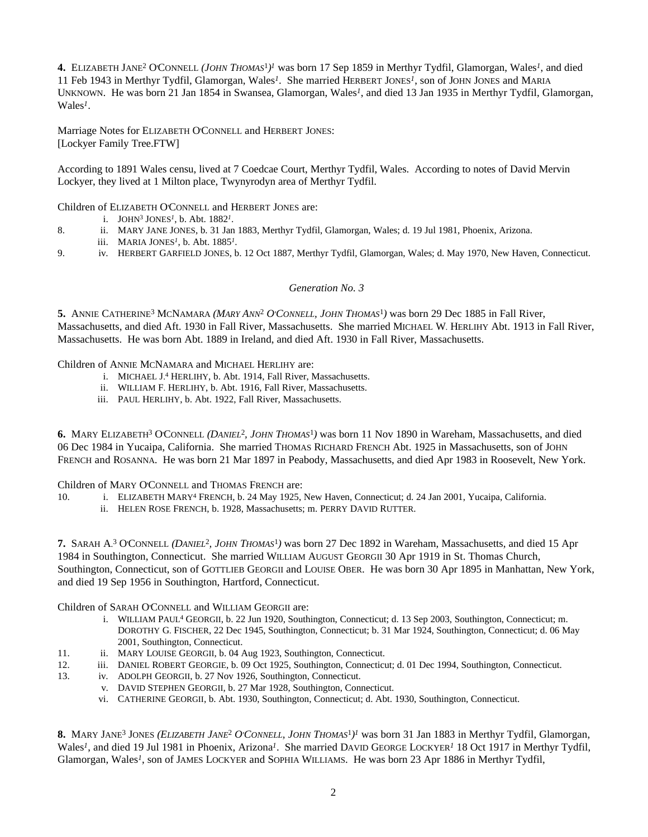4. ELIZABETH JANE<sup>2</sup> O'CONNELL (*JOHN THOMAS*<sup>1</sup>)<sup>*I*</sup> was born 17 Sep 1859 in Merthyr Tydfil, Glamorgan, Wales<sup>*I*</sup>, and died 11 Feb 1943 in Merthyr Tydfil, Glamorgan, Wales*<sup>1</sup>* . She married HERBERT JONES*<sup>1</sup>* , son of JOHN JONES and MARIA UNKNOWN. He was born 21 Jan 1854 in Swansea, Glamorgan, Wales*<sup>1</sup>* , and died 13 Jan 1935 in Merthyr Tydfil, Glamorgan, Wales*<sup>1</sup>* .

Marriage Notes for ELIZABETH O'CONNELL and HERBERT JONES: [Lockyer Family Tree.FTW]

According to 1891 Wales censu, lived at 7 Coedcae Court, Merthyr Tydfil, Wales. According to notes of David Mervin Lockyer, they lived at 1 Milton place, Twynyrodyn area of Merthyr Tydfil.

Children of ELIZABETH O'CONNELL and HERBERT JONES are:

i. JOHN<sup>3</sup> JONES<sup>1</sup>, b. Abt.  $1882<sup>1</sup>$ .

- 8. ii. MARY JANE JONES, b. 31 Jan 1883, Merthyr Tydfil, Glamorgan, Wales; d. 19 Jul 1981, Phoenix, Arizona.
- iii. MARIA JONES<sup>1</sup>, b. Abt. 1885<sup>1</sup>.
- 9. iv. HERBERT GARFIELD JONES, b. 12 Oct 1887, Merthyr Tydfil, Glamorgan, Wales; d. May 1970, New Haven, Connecticut.

## *Generation No. 3*

**5.** ANNIE CATHERINE<sup>3</sup> MCNAMARA *(MARY ANN*<sup>2</sup>  *O'CONNELL, JOHN THOMAS*<sup>1</sup> *)* was born 29 Dec 1885 in Fall River, Massachusetts, and died Aft. 1930 in Fall River, Massachusetts. She married MICHAEL W. HERLIHY Abt. 1913 in Fall River, Massachusetts. He was born Abt. 1889 in Ireland, and died Aft. 1930 in Fall River, Massachusetts.

Children of ANNIE MCNAMARA and MICHAEL HERLIHY are:

- i. MICHAEL J. 4 HERLIHY, b. Abt. 1914, Fall River, Massachusetts.
- ii. WILLIAM F. HERLIHY, b. Abt. 1916, Fall River, Massachusetts.
- iii. PAUL HERLIHY, b. Abt. 1922, Fall River, Massachusetts.

**6.** MARY ELIZABETH<sup>3</sup> O'CONNELL *(DANIEL*<sup>2</sup> *, JOHN THOMAS*<sup>1</sup> *)* was born 11 Nov 1890 in Wareham, Massachusetts, and died 06 Dec 1984 in Yucaipa, California. She married THOMAS RICHARD FRENCH Abt. 1925 in Massachusetts, son of JOHN FRENCH and ROSANNA. He was born 21 Mar 1897 in Peabody, Massachusetts, and died Apr 1983 in Roosevelt, New York.

Children of MARY O'CONNELL and THOMAS FRENCH are:

- 10. i. ELIZABETH MARY<sup>4</sup> FRENCH, b. 24 May 1925, New Haven, Connecticut; d. 24 Jan 2001, Yucaipa, California.
	- ii. HELEN ROSE FRENCH, b. 1928, Massachusetts; m. PERRY DAVID RUTTER.

7. SARAH A.<sup>3</sup> O'CONNELL (DANIEL<sup>2</sup>, JOHN THOMAS<sup>1</sup>) was born 27 Dec 1892 in Wareham, Massachusetts, and died 15 Apr 1984 in Southington, Connecticut. She married WILLIAM AUGUST GEORGII 30 Apr 1919 in St. Thomas Church, Southington, Connecticut, son of GOTTLIEB GEORGII and LOUISE OBER. He was born 30 Apr 1895 in Manhattan, New York, and died 19 Sep 1956 in Southington, Hartford, Connecticut.

Children of SARAH O'CONNELL and WILLIAM GEORGII are:

- i. WILLIAM PAUL<sup>4</sup> GEORGII, b. 22 Jun 1920, Southington, Connecticut; d. 13 Sep 2003, Southington, Connecticut; m. DOROTHY G. FISCHER, 22 Dec 1945, Southington, Connecticut; b. 31 Mar 1924, Southington, Connecticut; d. 06 May 2001, Southington, Connecticut.
- 11. ii. MARY LOUISE GEORGII, b. 04 Aug 1923, Southington, Connecticut.
- 12. iii. DANIEL ROBERT GEORGIE, b. 09 Oct 1925, Southington, Connecticut; d. 01 Dec 1994, Southington, Connecticut.
- 13. iv. ADOLPH GEORGII, b. 27 Nov 1926, Southington, Connecticut.
	- v. DAVID STEPHEN GEORGII, b. 27 Mar 1928, Southington, Connecticut.
	- vi. CATHERINE GEORGII, b. Abt. 1930, Southington, Connecticut; d. Abt. 1930, Southington, Connecticut.

**8.** MARY JANE<sup>3</sup> JONES *(ELIZABETH JANE*<sup>2</sup>  *O'CONNELL, JOHN THOMAS*<sup>1</sup> *) 1* was born 31 Jan 1883 in Merthyr Tydfil, Glamorgan, Wales*<sup>1</sup>* , and died 19 Jul 1981 in Phoenix, Arizona*<sup>1</sup>* . She married DAVID GEORGE LOCKYER*<sup>1</sup>* 18 Oct 1917 in Merthyr Tydfil, Glamorgan, Wales<sup>1</sup>, son of JAMES LOCKYER and SOPHIA WILLIAMS. He was born 23 Apr 1886 in Merthyr Tydfil,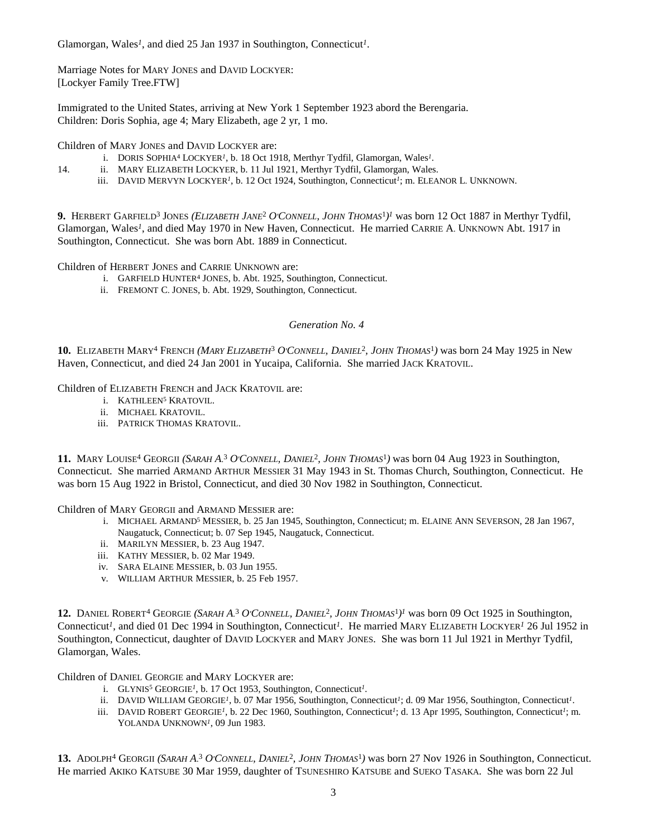Glamorgan, Wales<sup>1</sup>, and died 25 Jan 1937 in Southington, Connecticut<sup>1</sup>.

Marriage Notes for MARY JONES and DAVID LOCKYER: [Lockyer Family Tree.FTW]

Immigrated to the United States, arriving at New York 1 September 1923 abord the Berengaria. Children: Doris Sophia, age 4; Mary Elizabeth, age 2 yr, 1 mo.

Children of MARY JONES and DAVID LOCKYER are:

- i. DORIS SOPHIA<sup>4</sup> LOCKYER<sup>1</sup>, b. 18 Oct 1918, Merthyr Tydfil, Glamorgan, Wales<sup>1</sup>.
- 14. ii. MARY ELIZABETH LOCKYER, b. 11 Jul 1921, Merthyr Tydfil, Glamorgan, Wales.
	- iii. DAVID MERVYN LOCKYER<sup>1</sup>, b. 12 Oct 1924, Southington, Connecticut<sup>1</sup>; m. ELEANOR L. UNKNOWN.

**9.** HERBERT GARFIELD<sup>3</sup> JONES *(ELIZABETH JANE*<sup>2</sup>  *O'CONNELL, JOHN THOMAS*<sup>1</sup> *) 1* was born 12 Oct 1887 in Merthyr Tydfil, Glamorgan, Wales<sup>*1*</sup>, and died May 1970 in New Haven, Connecticut. He married CARRIE A. UNKNOWN Abt. 1917 in Southington, Connecticut. She was born Abt. 1889 in Connecticut.

Children of HERBERT JONES and CARRIE UNKNOWN are:

- i. GARFIELD HUNTER<sup>4</sup> JONES, b. Abt. 1925, Southington, Connecticut.
- ii. FREMONT C. JONES, b. Abt. 1929, Southington, Connecticut.

## *Generation No. 4*

**10.** ELIZABETH MARY<sup>4</sup> FRENCH *(MARY ELIZABETH*<sup>3</sup>  *O'CONNELL, DANIEL*<sup>2</sup> *, JOHN THOMAS*<sup>1</sup> *)* was born 24 May 1925 in New Haven, Connecticut, and died 24 Jan 2001 in Yucaipa, California. She married JACK KRATOVIL.

Children of ELIZABETH FRENCH and JACK KRATOVIL are:

- i. KATHLEEN<sup>5</sup> KRATOVIL.
- ii. MICHAEL KRATOVIL.
- iii. PATRICK THOMAS KRATOVIL.

**11.** MARY LOUISE<sup>4</sup> GEORGII *(SARAH A.* 3  *O'CONNELL, DANIEL*<sup>2</sup> *, JOHN THOMAS*<sup>1</sup> *)* was born 04 Aug 1923 in Southington, Connecticut. She married ARMAND ARTHUR MESSIER 31 May 1943 in St. Thomas Church, Southington, Connecticut. He was born 15 Aug 1922 in Bristol, Connecticut, and died 30 Nov 1982 in Southington, Connecticut.

Children of MARY GEORGII and ARMAND MESSIER are:

- i. MICHAEL ARMAND<sup>5</sup> MESSIER, b. 25 Jan 1945, Southington, Connecticut; m. ELAINE ANN SEVERSON, 28 Jan 1967, Naugatuck, Connecticut; b. 07 Sep 1945, Naugatuck, Connecticut.
- ii. MARILYN MESSIER, b. 23 Aug 1947.
- iii. KATHY MESSIER, b. 02 Mar 1949.
- iv. SARA ELAINE MESSIER, b. 03 Jun 1955.
- v. WILLIAM ARTHUR MESSIER, b. 25 Feb 1957.

12. DANIEL ROBERT<sup>4</sup> GEORGIE (SARAH A.<sup>3</sup> O'CONNELL, DANIEL<sup>2</sup>, JOHN THOMAS<sup>1</sup>)<sup>1</sup> was born 09 Oct 1925 in Southington, Connecticut*<sup>1</sup>* , and died 01 Dec 1994 in Southington, Connecticut*<sup>1</sup>* . He married MARY ELIZABETH LOCKYER*<sup>1</sup>* 26 Jul 1952 in Southington, Connecticut, daughter of DAVID LOCKYER and MARY JONES. She was born 11 Jul 1921 in Merthyr Tydfil, Glamorgan, Wales.

Children of DANIEL GEORGIE and MARY LOCKYER are:

- i. GLYNIS<sup>5</sup> GEORGIE<sup>1</sup>, b. 17 Oct 1953, Southington, Connecticut<sup>1</sup>.
- ii. DAVID WILLIAM GEORGIE<sup>*I*</sup>, b. 07 Mar 1956, Southington, Connecticut<sup>*1*</sup>; d. 09 Mar 1956, Southington, Connecticut<sup>*1*</sup>.
- iii. DAVID ROBERT GEORGIE<sup>*I*</sup>, b. 22 Dec 1960, Southington, Connecticut<sup>*i*</sup>; d. 13 Apr 1995, Southington, Connecticut<sup>*i*</sup>; m. YOLANDA UNKNOWN<sup>1</sup>, 09 Jun 1983.

13. ADOLPH<sup>4</sup> GEORGII (SARAH A.<sup>3</sup> O'CONNELL, DANIEL<sup>2</sup>, JOHN THOMAS<sup>1</sup>) was born 27 Nov 1926 in Southington, Connecticut. He married AKIKO KATSUBE 30 Mar 1959, daughter of TSUNESHIRO KATSUBE and SUEKO TASAKA. She was born 22 Jul